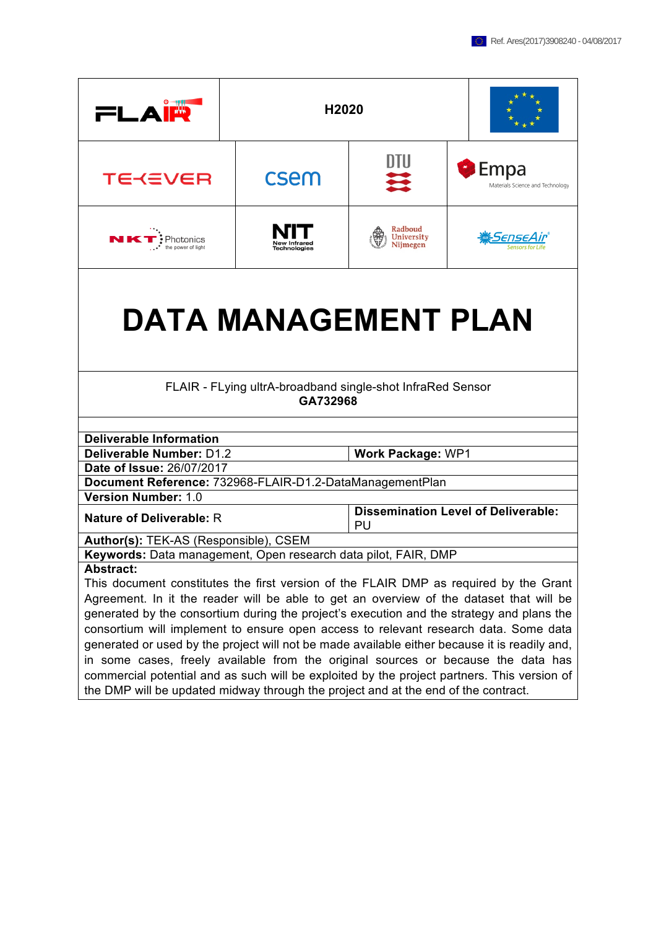| FLAIN                                                                                                                                                                             | H <sub>2020</sub>                                                      |                                   |                                            |  |
|-----------------------------------------------------------------------------------------------------------------------------------------------------------------------------------|------------------------------------------------------------------------|-----------------------------------|--------------------------------------------|--|
| <b>TEKEVER</b>                                                                                                                                                                    | csem                                                                   | DTU<br>든                          | Empa<br>Materials Science and Technology   |  |
| NK <sup>.</sup><br>$\cdot$ Photonics<br>the power of light                                                                                                                        | <b>New Infrared</b><br>Technologies                                    | Radboud<br>University<br>Nijmegen | <u> #SenseAir</u>                          |  |
| <b>DATA MANAGEMENT PLAN</b>                                                                                                                                                       |                                                                        |                                   |                                            |  |
|                                                                                                                                                                                   | FLAIR - FLying ultrA-broadband single-shot InfraRed Sensor<br>GA732968 |                                   |                                            |  |
|                                                                                                                                                                                   |                                                                        |                                   |                                            |  |
|                                                                                                                                                                                   | <b>Deliverable Information</b>                                         |                                   |                                            |  |
|                                                                                                                                                                                   | <b>Deliverable Number: D1.2</b><br><b>Work Package: WP1</b>            |                                   |                                            |  |
| Date of Issue: 26/07/2017                                                                                                                                                         |                                                                        |                                   |                                            |  |
| Document Reference: 732968-FLAIR-D1.2-DataManagementPlan                                                                                                                          |                                                                        |                                   |                                            |  |
| <b>Version Number: 1.0</b><br><b>Nature of Deliverable: R</b>                                                                                                                     |                                                                        |                                   | <b>Dissemination Level of Deliverable:</b> |  |
|                                                                                                                                                                                   |                                                                        | PU                                |                                            |  |
| Author(s): TEK-AS (Responsible), CSEM<br>Keywords: Data management, Open research data pilot, FAIR, DMP                                                                           |                                                                        |                                   |                                            |  |
|                                                                                                                                                                                   |                                                                        |                                   |                                            |  |
| Abstract:                                                                                                                                                                         |                                                                        |                                   |                                            |  |
| This document constitutes the first version of the FLAIR DMP as required by the Grant                                                                                             |                                                                        |                                   |                                            |  |
| Agreement. In it the reader will be able to get an overview of the dataset that will be                                                                                           |                                                                        |                                   |                                            |  |
| generated by the consortium during the project's execution and the strategy and plans the<br>consortium will implement to ensure open access to relevant research data. Some data |                                                                        |                                   |                                            |  |
| generated or used by the project will not be made available either because it is readily and,                                                                                     |                                                                        |                                   |                                            |  |
|                                                                                                                                                                                   |                                                                        |                                   |                                            |  |
| in some cases, freely available from the original sources or because the data has<br>commercial potential and as such will be exploited by the project partners. This version of  |                                                                        |                                   |                                            |  |

the DMP will be updated midway through the project and at the end of the contract.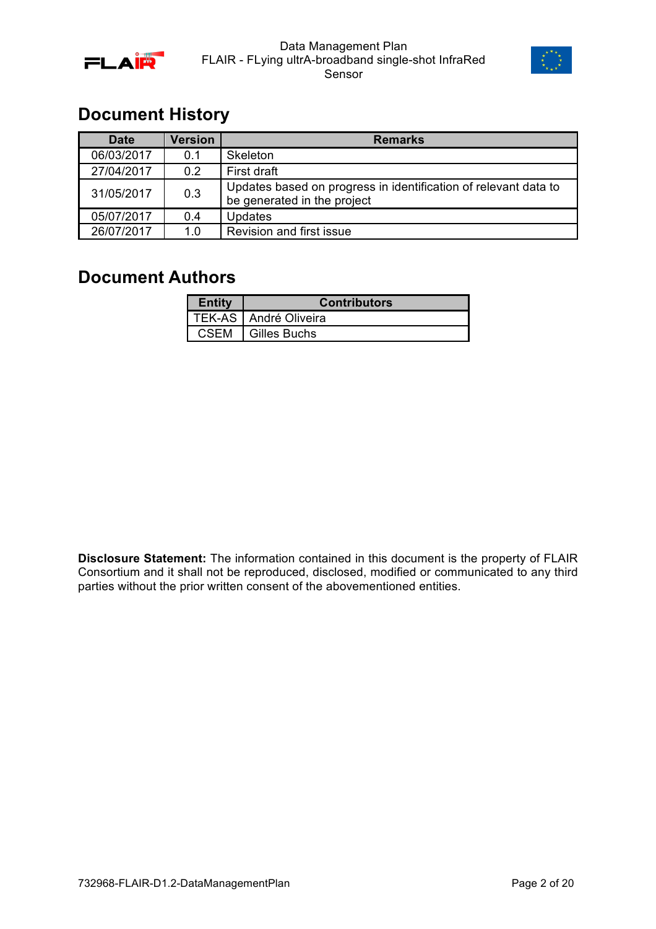



# **Document History**

| <b>Date</b> | Version | <b>Remarks</b>                                                                                 |
|-------------|---------|------------------------------------------------------------------------------------------------|
| 06/03/2017  | 0.1     | Skeleton                                                                                       |
| 27/04/2017  | 0.2     | First draft                                                                                    |
| 31/05/2017  | 0.3     | Updates based on progress in identification of relevant data to<br>be generated in the project |
| 05/07/2017  | 0.4     | <b>Updates</b>                                                                                 |
| 26/07/2017  | 1.0     | Revision and first issue                                                                       |

# **Document Authors**

| <b>Entity</b> | <b>Contributors</b>     |
|---------------|-------------------------|
|               | TEK-AS   André Oliveira |
| CSEM          | Gilles Buchs            |

**Disclosure Statement:** The information contained in this document is the property of FLAIR Consortium and it shall not be reproduced, disclosed, modified or communicated to any third parties without the prior written consent of the abovementioned entities.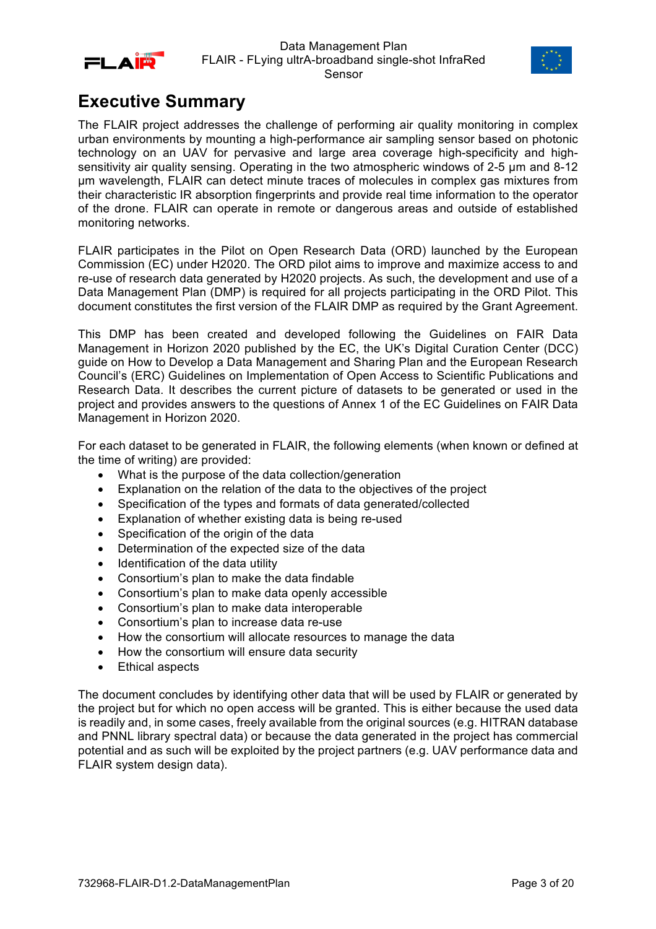



# **Executive Summary**

The FLAIR project addresses the challenge of performing air quality monitoring in complex urban environments by mounting a high-performance air sampling sensor based on photonic technology on an UAV for pervasive and large area coverage high-specificity and highsensitivity air quality sensing. Operating in the two atmospheric windows of 2-5 um and 8-12 µm wavelength, FLAIR can detect minute traces of molecules in complex gas mixtures from their characteristic IR absorption fingerprints and provide real time information to the operator of the drone. FLAIR can operate in remote or dangerous areas and outside of established monitoring networks.

FLAIR participates in the Pilot on Open Research Data (ORD) launched by the European Commission (EC) under H2020. The ORD pilot aims to improve and maximize access to and re-use of research data generated by H2020 projects. As such, the development and use of a Data Management Plan (DMP) is required for all projects participating in the ORD Pilot. This document constitutes the first version of the FLAIR DMP as required by the Grant Agreement.

This DMP has been created and developed following the Guidelines on FAIR Data Management in Horizon 2020 published by the EC, the UK's Digital Curation Center (DCC) guide on How to Develop a Data Management and Sharing Plan and the European Research Council's (ERC) Guidelines on Implementation of Open Access to Scientific Publications and Research Data. It describes the current picture of datasets to be generated or used in the project and provides answers to the questions of Annex 1 of the EC Guidelines on FAIR Data Management in Horizon 2020.

For each dataset to be generated in FLAIR, the following elements (when known or defined at the time of writing) are provided:

- What is the purpose of the data collection/generation
- Explanation on the relation of the data to the objectives of the project
- Specification of the types and formats of data generated/collected
- Explanation of whether existing data is being re-used
- Specification of the origin of the data
- Determination of the expected size of the data
- Identification of the data utility
- Consortium's plan to make the data findable
- Consortium's plan to make data openly accessible
- Consortium's plan to make data interoperable
- Consortium's plan to increase data re-use
- How the consortium will allocate resources to manage the data
- How the consortium will ensure data security
- Ethical aspects

The document concludes by identifying other data that will be used by FLAIR or generated by the project but for which no open access will be granted. This is either because the used data is readily and, in some cases, freely available from the original sources (e.g. HITRAN database and PNNL library spectral data) or because the data generated in the project has commercial potential and as such will be exploited by the project partners (e.g. UAV performance data and FLAIR system design data).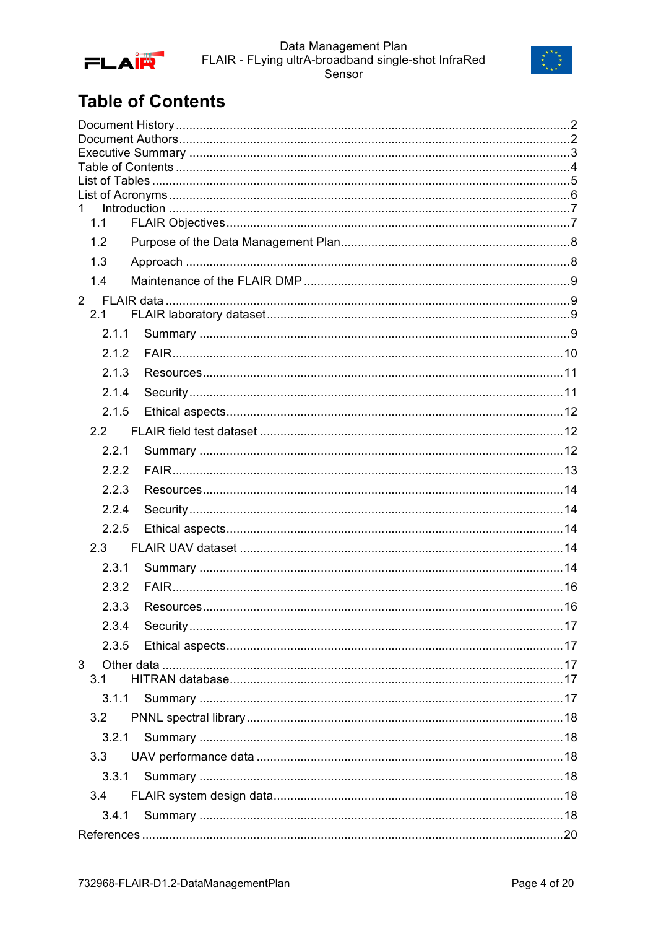



# **Table of Contents**

| $\mathbf 1$ |  |  |  |
|-------------|--|--|--|
| 1.1         |  |  |  |
| 1.2         |  |  |  |
| 1.3         |  |  |  |
| 1.4         |  |  |  |
|             |  |  |  |
| 2.1         |  |  |  |
| 2.1.1       |  |  |  |
| 2.1.2       |  |  |  |
| 2.1.3       |  |  |  |
| 2.1.4       |  |  |  |
| 2.1.5       |  |  |  |
| 2.2         |  |  |  |
| 2.2.1       |  |  |  |
| 2.2.2       |  |  |  |
| 2.2.3       |  |  |  |
| 2.2.4       |  |  |  |
| 2.2.5       |  |  |  |
| 2.3         |  |  |  |
| 2.3.1       |  |  |  |
| 2.3.2       |  |  |  |
| 2.3.3       |  |  |  |
| 2.3.4       |  |  |  |
| 2.3.5       |  |  |  |
| 3           |  |  |  |
| 3.1         |  |  |  |
|             |  |  |  |
| 3.2         |  |  |  |
| 3.2.1       |  |  |  |
| 3.3         |  |  |  |
| 3.3.1       |  |  |  |
| 3.4         |  |  |  |
| 3.4.1       |  |  |  |
|             |  |  |  |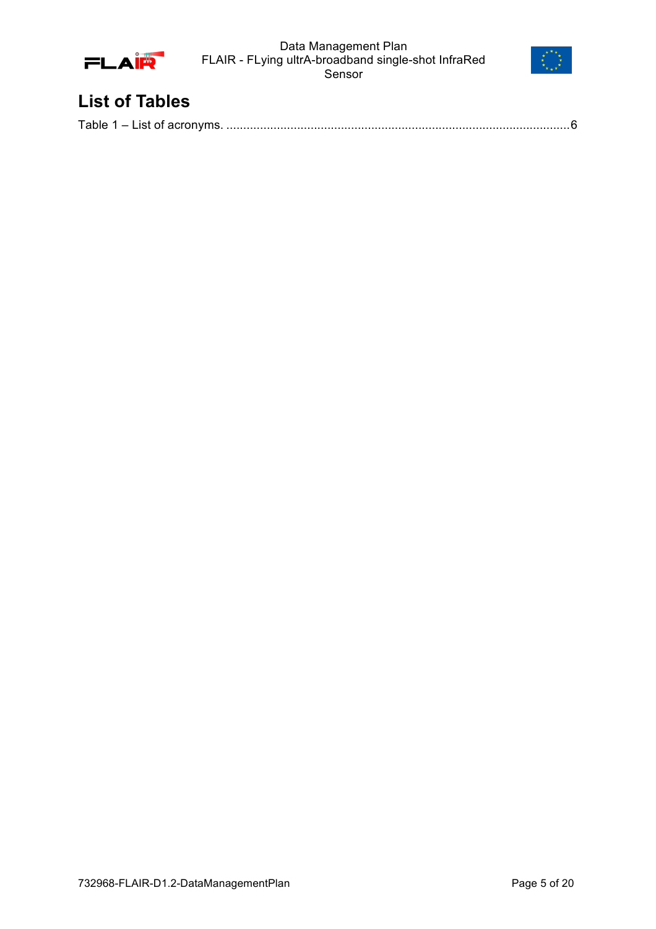



# **List of Tables**

|--|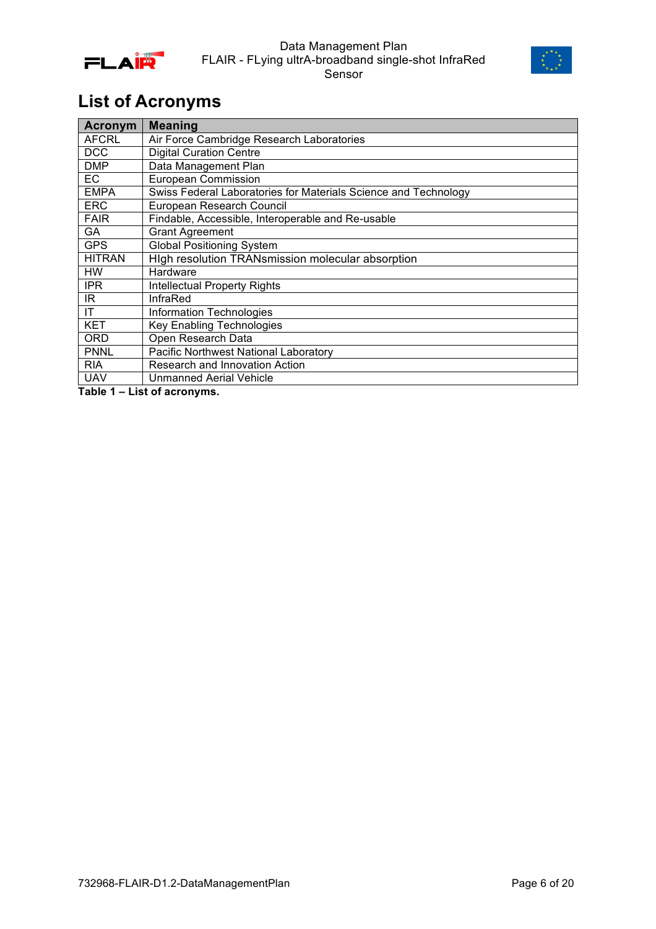



# **List of Acronyms**

| <b>Acronym</b> | <b>Meaning</b>                                                  |
|----------------|-----------------------------------------------------------------|
| AFCRL          | Air Force Cambridge Research Laboratories                       |
| <b>DCC</b>     | <b>Digital Curation Centre</b>                                  |
| <b>DMP</b>     | Data Management Plan                                            |
| EC             | European Commission                                             |
| <b>EMPA</b>    | Swiss Federal Laboratories for Materials Science and Technology |
| <b>ERC</b>     | European Research Council                                       |
| <b>FAIR</b>    | Findable, Accessible, Interoperable and Re-usable               |
| GA             | <b>Grant Agreement</b>                                          |
| <b>GPS</b>     | <b>Global Positioning System</b>                                |
| <b>HITRAN</b>  | High resolution TRANsmission molecular absorption               |
| HW             | Hardware                                                        |
| <b>IPR</b>     | <b>Intellectual Property Rights</b>                             |
| IR.            | <b>InfraRed</b>                                                 |
| ΙT             | Information Technologies                                        |
| <b>KET</b>     | <b>Key Enabling Technologies</b>                                |
| <b>ORD</b>     | Open Research Data                                              |
| <b>PNNL</b>    | Pacific Northwest National Laboratory                           |
| <b>RIA</b>     | Research and Innovation Action                                  |
| <b>UAV</b>     | <b>Unmanned Aerial Vehicle</b>                                  |

**Table 1 – List of acronyms.**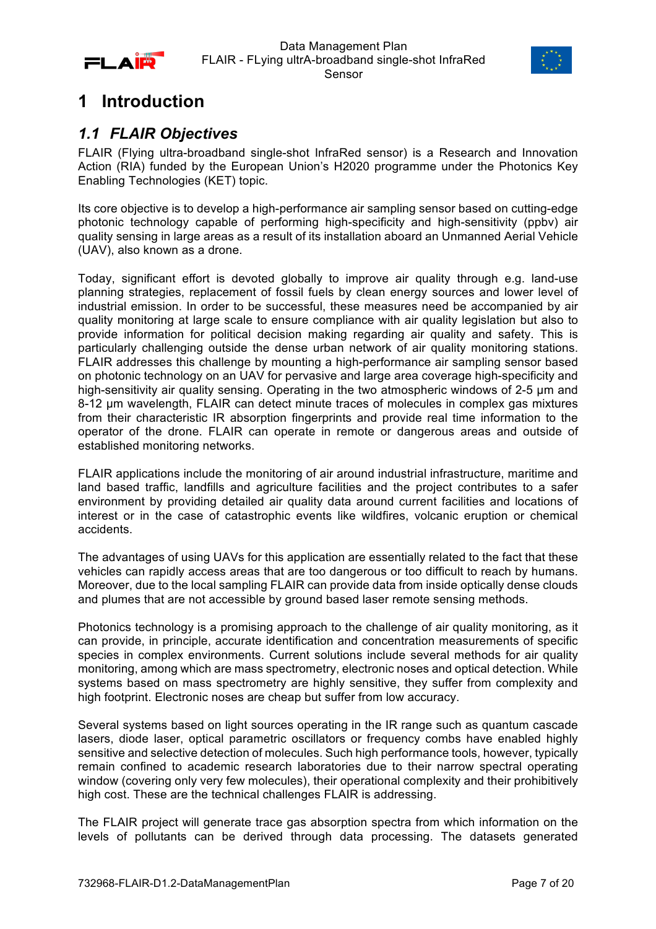



# **1 Introduction**

## *1.1 FLAIR Objectives*

FLAIR (Flying ultra-broadband single-shot InfraRed sensor) is a Research and Innovation Action (RIA) funded by the European Union's H2020 programme under the Photonics Key Enabling Technologies (KET) topic.

Its core objective is to develop a high-performance air sampling sensor based on cutting-edge photonic technology capable of performing high-specificity and high-sensitivity (ppbv) air quality sensing in large areas as a result of its installation aboard an Unmanned Aerial Vehicle (UAV), also known as a drone.

Today, significant effort is devoted globally to improve air quality through e.g. land-use planning strategies, replacement of fossil fuels by clean energy sources and lower level of industrial emission. In order to be successful, these measures need be accompanied by air quality monitoring at large scale to ensure compliance with air quality legislation but also to provide information for political decision making regarding air quality and safety. This is particularly challenging outside the dense urban network of air quality monitoring stations. FLAIR addresses this challenge by mounting a high-performance air sampling sensor based on photonic technology on an UAV for pervasive and large area coverage high-specificity and high-sensitivity air quality sensing. Operating in the two atmospheric windows of 2-5  $\mu$ m and 8-12 um wavelength, FLAIR can detect minute traces of molecules in complex gas mixtures from their characteristic IR absorption fingerprints and provide real time information to the operator of the drone. FLAIR can operate in remote or dangerous areas and outside of established monitoring networks.

FLAIR applications include the monitoring of air around industrial infrastructure, maritime and land based traffic, landfills and agriculture facilities and the project contributes to a safer environment by providing detailed air quality data around current facilities and locations of interest or in the case of catastrophic events like wildfires, volcanic eruption or chemical accidents.

The advantages of using UAVs for this application are essentially related to the fact that these vehicles can rapidly access areas that are too dangerous or too difficult to reach by humans. Moreover, due to the local sampling FLAIR can provide data from inside optically dense clouds and plumes that are not accessible by ground based laser remote sensing methods.

Photonics technology is a promising approach to the challenge of air quality monitoring, as it can provide, in principle, accurate identification and concentration measurements of specific species in complex environments. Current solutions include several methods for air quality monitoring, among which are mass spectrometry, electronic noses and optical detection. While systems based on mass spectrometry are highly sensitive, they suffer from complexity and high footprint. Electronic noses are cheap but suffer from low accuracy.

Several systems based on light sources operating in the IR range such as quantum cascade lasers, diode laser, optical parametric oscillators or frequency combs have enabled highly sensitive and selective detection of molecules. Such high performance tools, however, typically remain confined to academic research laboratories due to their narrow spectral operating window (covering only very few molecules), their operational complexity and their prohibitively high cost. These are the technical challenges FLAIR is addressing.

The FLAIR project will generate trace gas absorption spectra from which information on the levels of pollutants can be derived through data processing. The datasets generated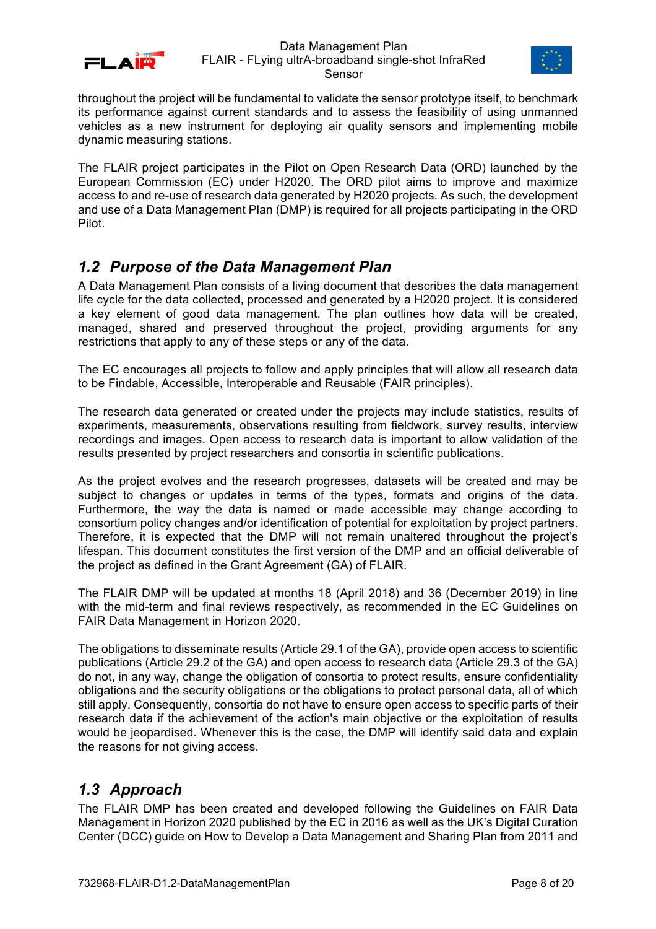



throughout the project will be fundamental to validate the sensor prototype itself, to benchmark its performance against current standards and to assess the feasibility of using unmanned vehicles as a new instrument for deploying air quality sensors and implementing mobile dynamic measuring stations.

The FLAIR project participates in the Pilot on Open Research Data (ORD) launched by the European Commission (EC) under H2020. The ORD pilot aims to improve and maximize access to and re-use of research data generated by H2020 projects. As such, the development and use of a Data Management Plan (DMP) is required for all projects participating in the ORD Pilot.

## *1.2 Purpose of the Data Management Plan*

A Data Management Plan consists of a living document that describes the data management life cycle for the data collected, processed and generated by a H2020 project. It is considered a key element of good data management. The plan outlines how data will be created, managed, shared and preserved throughout the project, providing arguments for any restrictions that apply to any of these steps or any of the data.

The EC encourages all projects to follow and apply principles that will allow all research data to be Findable, Accessible, Interoperable and Reusable (FAIR principles).

The research data generated or created under the projects may include statistics, results of experiments, measurements, observations resulting from fieldwork, survey results, interview recordings and images. Open access to research data is important to allow validation of the results presented by project researchers and consortia in scientific publications.

As the project evolves and the research progresses, datasets will be created and may be subject to changes or updates in terms of the types, formats and origins of the data. Furthermore, the way the data is named or made accessible may change according to consortium policy changes and/or identification of potential for exploitation by project partners. Therefore, it is expected that the DMP will not remain unaltered throughout the project's lifespan. This document constitutes the first version of the DMP and an official deliverable of the project as defined in the Grant Agreement (GA) of FLAIR.

The FLAIR DMP will be updated at months 18 (April 2018) and 36 (December 2019) in line with the mid-term and final reviews respectively, as recommended in the EC Guidelines on FAIR Data Management in Horizon 2020.

The obligations to disseminate results (Article 29.1 of the GA), provide open access to scientific publications (Article 29.2 of the GA) and open access to research data (Article 29.3 of the GA) do not, in any way, change the obligation of consortia to protect results, ensure confidentiality obligations and the security obligations or the obligations to protect personal data, all of which still apply. Consequently, consortia do not have to ensure open access to specific parts of their research data if the achievement of the action's main objective or the exploitation of results would be jeopardised. Whenever this is the case, the DMP will identify said data and explain the reasons for not giving access.

# *1.3 Approach*

The FLAIR DMP has been created and developed following the Guidelines on FAIR Data Management in Horizon 2020 published by the EC in 2016 as well as the UK's Digital Curation Center (DCC) guide on How to Develop a Data Management and Sharing Plan from 2011 and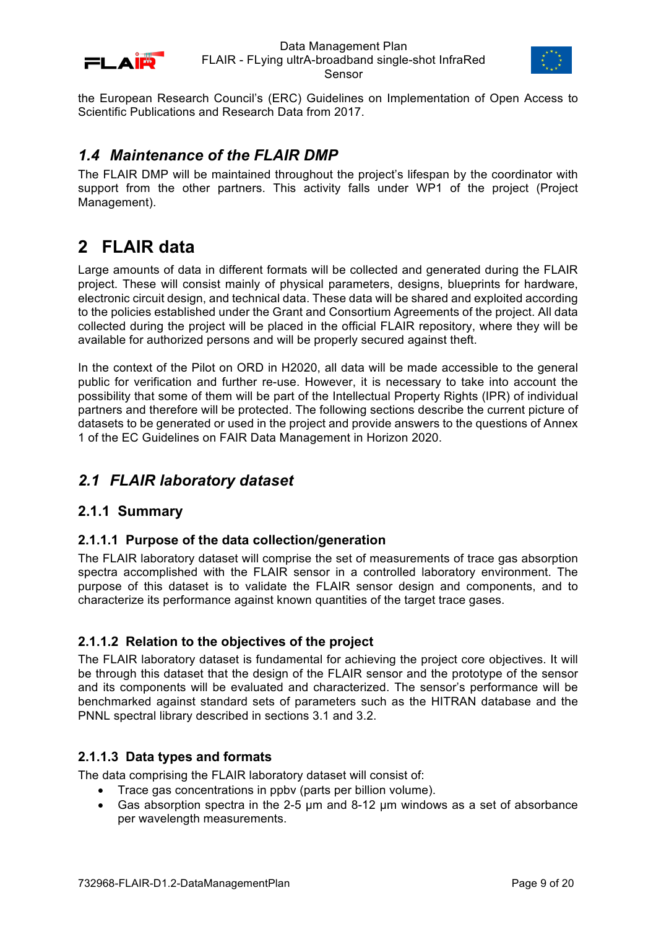



the European Research Council's (ERC) Guidelines on Implementation of Open Access to Scientific Publications and Research Data from 2017.

## *1.4 Maintenance of the FLAIR DMP*

The FLAIR DMP will be maintained throughout the project's lifespan by the coordinator with support from the other partners. This activity falls under WP1 of the project (Project Management).

# **2 FLAIR data**

Large amounts of data in different formats will be collected and generated during the FLAIR project. These will consist mainly of physical parameters, designs, blueprints for hardware, electronic circuit design, and technical data. These data will be shared and exploited according to the policies established under the Grant and Consortium Agreements of the project. All data collected during the project will be placed in the official FLAIR repository, where they will be available for authorized persons and will be properly secured against theft.

In the context of the Pilot on ORD in H2020, all data will be made accessible to the general public for verification and further re-use. However, it is necessary to take into account the possibility that some of them will be part of the Intellectual Property Rights (IPR) of individual partners and therefore will be protected. The following sections describe the current picture of datasets to be generated or used in the project and provide answers to the questions of Annex 1 of the EC Guidelines on FAIR Data Management in Horizon 2020.

# *2.1 FLAIR laboratory dataset*

## **2.1.1 Summary**

### **2.1.1.1 Purpose of the data collection/generation**

The FLAIR laboratory dataset will comprise the set of measurements of trace gas absorption spectra accomplished with the FLAIR sensor in a controlled laboratory environment. The purpose of this dataset is to validate the FLAIR sensor design and components, and to characterize its performance against known quantities of the target trace gases.

### **2.1.1.2 Relation to the objectives of the project**

The FLAIR laboratory dataset is fundamental for achieving the project core objectives. It will be through this dataset that the design of the FLAIR sensor and the prototype of the sensor and its components will be evaluated and characterized. The sensor's performance will be benchmarked against standard sets of parameters such as the HITRAN database and the PNNL spectral library described in sections 3.1 and 3.2.

### **2.1.1.3 Data types and formats**

The data comprising the FLAIR laboratory dataset will consist of:

- Trace gas concentrations in ppbv (parts per billion volume).
- Gas absorption spectra in the 2-5 µm and 8-12 µm windows as a set of absorbance per wavelength measurements.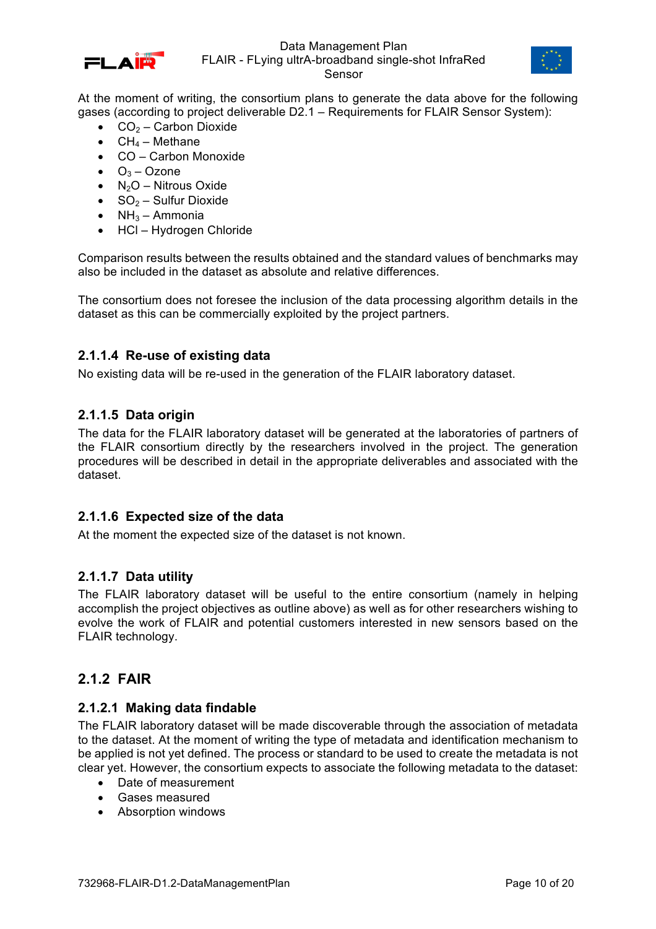



At the moment of writing, the consortium plans to generate the data above for the following gases (according to project deliverable D2.1 – Requirements for FLAIR Sensor System):

- $CO<sub>2</sub> Carbon Dioxide$
- $CH<sub>4</sub> Methane$
- CO Carbon Monoxide
- $O_3 Oz$ one
- $N_2O -$  Nitrous Oxide
- $SO<sub>2</sub> Sulfur Dioxide$
- $NH<sub>3</sub> Ammonia$
- HCl Hydrogen Chloride

Comparison results between the results obtained and the standard values of benchmarks may also be included in the dataset as absolute and relative differences.

The consortium does not foresee the inclusion of the data processing algorithm details in the dataset as this can be commercially exploited by the project partners.

#### **2.1.1.4 Re-use of existing data**

No existing data will be re-used in the generation of the FLAIR laboratory dataset.

#### **2.1.1.5 Data origin**

The data for the FLAIR laboratory dataset will be generated at the laboratories of partners of the FLAIR consortium directly by the researchers involved in the project. The generation procedures will be described in detail in the appropriate deliverables and associated with the dataset.

#### **2.1.1.6 Expected size of the data**

At the moment the expected size of the dataset is not known.

#### **2.1.1.7 Data utility**

The FLAIR laboratory dataset will be useful to the entire consortium (namely in helping accomplish the project objectives as outline above) as well as for other researchers wishing to evolve the work of FLAIR and potential customers interested in new sensors based on the FLAIR technology.

### **2.1.2 FAIR**

#### **2.1.2.1 Making data findable**

The FLAIR laboratory dataset will be made discoverable through the association of metadata to the dataset. At the moment of writing the type of metadata and identification mechanism to be applied is not yet defined. The process or standard to be used to create the metadata is not clear yet. However, the consortium expects to associate the following metadata to the dataset:

- Date of measurement
- Gases measured
- Absorption windows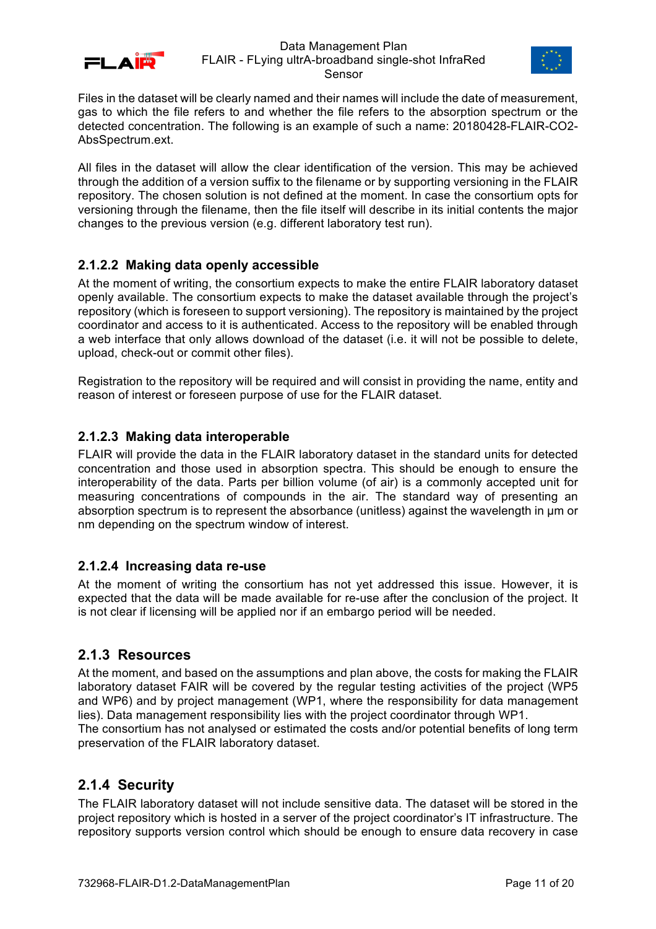



Files in the dataset will be clearly named and their names will include the date of measurement, gas to which the file refers to and whether the file refers to the absorption spectrum or the detected concentration. The following is an example of such a name: 20180428-FLAIR-CO2- AbsSpectrum.ext.

All files in the dataset will allow the clear identification of the version. This may be achieved through the addition of a version suffix to the filename or by supporting versioning in the FLAIR repository. The chosen solution is not defined at the moment. In case the consortium opts for versioning through the filename, then the file itself will describe in its initial contents the major changes to the previous version (e.g. different laboratory test run).

## **2.1.2.2 Making data openly accessible**

At the moment of writing, the consortium expects to make the entire FLAIR laboratory dataset openly available. The consortium expects to make the dataset available through the project's repository (which is foreseen to support versioning). The repository is maintained by the project coordinator and access to it is authenticated. Access to the repository will be enabled through a web interface that only allows download of the dataset (i.e. it will not be possible to delete, upload, check-out or commit other files).

Registration to the repository will be required and will consist in providing the name, entity and reason of interest or foreseen purpose of use for the FLAIR dataset.

### **2.1.2.3 Making data interoperable**

FLAIR will provide the data in the FLAIR laboratory dataset in the standard units for detected concentration and those used in absorption spectra. This should be enough to ensure the interoperability of the data. Parts per billion volume (of air) is a commonly accepted unit for measuring concentrations of compounds in the air. The standard way of presenting an absorption spectrum is to represent the absorbance (unitless) against the wavelength in µm or nm depending on the spectrum window of interest.

### **2.1.2.4 Increasing data re-use**

At the moment of writing the consortium has not yet addressed this issue. However, it is expected that the data will be made available for re-use after the conclusion of the project. It is not clear if licensing will be applied nor if an embargo period will be needed.

### **2.1.3 Resources**

At the moment, and based on the assumptions and plan above, the costs for making the FLAIR laboratory dataset FAIR will be covered by the regular testing activities of the project (WP5 and WP6) and by project management (WP1, where the responsibility for data management lies). Data management responsibility lies with the project coordinator through WP1. The consortium has not analysed or estimated the costs and/or potential benefits of long term preservation of the FLAIR laboratory dataset.

## **2.1.4 Security**

The FLAIR laboratory dataset will not include sensitive data. The dataset will be stored in the project repository which is hosted in a server of the project coordinator's IT infrastructure. The repository supports version control which should be enough to ensure data recovery in case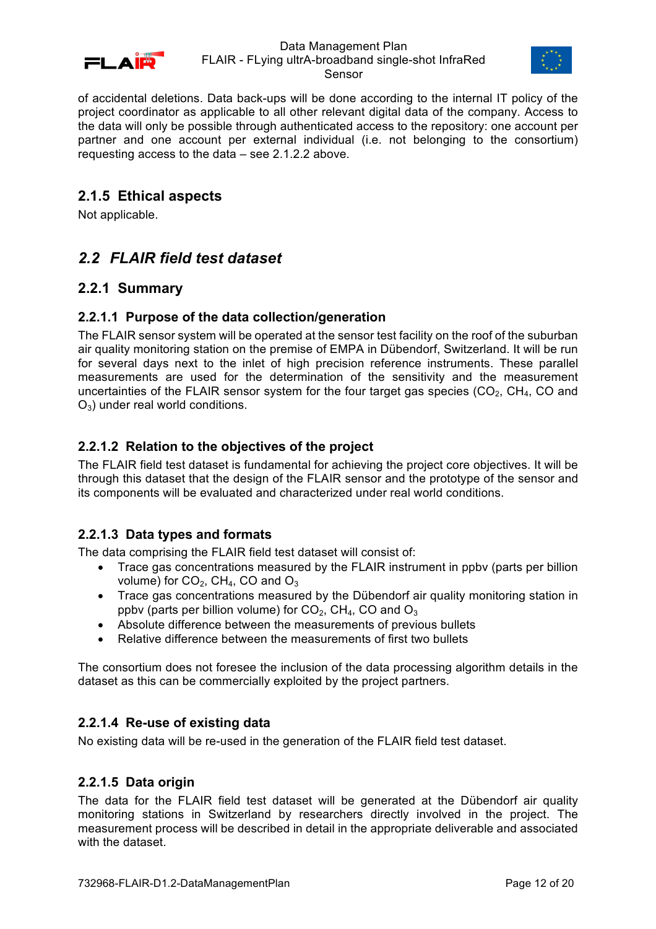



of accidental deletions. Data back-ups will be done according to the internal IT policy of the project coordinator as applicable to all other relevant digital data of the company. Access to the data will only be possible through authenticated access to the repository: one account per partner and one account per external individual (i.e. not belonging to the consortium) requesting access to the data – see 2.1.2.2 above.

### **2.1.5 Ethical aspects**

Not applicable.

# *2.2 FLAIR field test dataset*

## **2.2.1 Summary**

#### **2.2.1.1 Purpose of the data collection/generation**

The FLAIR sensor system will be operated at the sensor test facility on the roof of the suburban air quality monitoring station on the premise of EMPA in Dübendorf, Switzerland. It will be run for several days next to the inlet of high precision reference instruments. These parallel measurements are used for the determination of the sensitivity and the measurement uncertainties of the FLAIR sensor system for the four target gas species  $(CO<sub>2</sub>, CH<sub>4</sub>, CO$  and  $O_3$ ) under real world conditions.

### **2.2.1.2 Relation to the objectives of the project**

The FLAIR field test dataset is fundamental for achieving the project core objectives. It will be through this dataset that the design of the FLAIR sensor and the prototype of the sensor and its components will be evaluated and characterized under real world conditions.

### **2.2.1.3 Data types and formats**

The data comprising the FLAIR field test dataset will consist of:

- Trace gas concentrations measured by the FLAIR instrument in ppby (parts per billion volume) for  $CO<sub>2</sub>$ , CH<sub>4</sub>, CO and  $O<sub>3</sub>$
- Trace gas concentrations measured by the Dübendorf air quality monitoring station in ppby (parts per billion volume) for  $CO<sub>2</sub>$ , CH<sub>4</sub>, CO and  $O<sub>3</sub>$
- Absolute difference between the measurements of previous bullets
- Relative difference between the measurements of first two bullets

The consortium does not foresee the inclusion of the data processing algorithm details in the dataset as this can be commercially exploited by the project partners.

#### **2.2.1.4 Re-use of existing data**

No existing data will be re-used in the generation of the FLAIR field test dataset.

#### **2.2.1.5 Data origin**

The data for the FLAIR field test dataset will be generated at the Dübendorf air quality monitoring stations in Switzerland by researchers directly involved in the project. The measurement process will be described in detail in the appropriate deliverable and associated with the dataset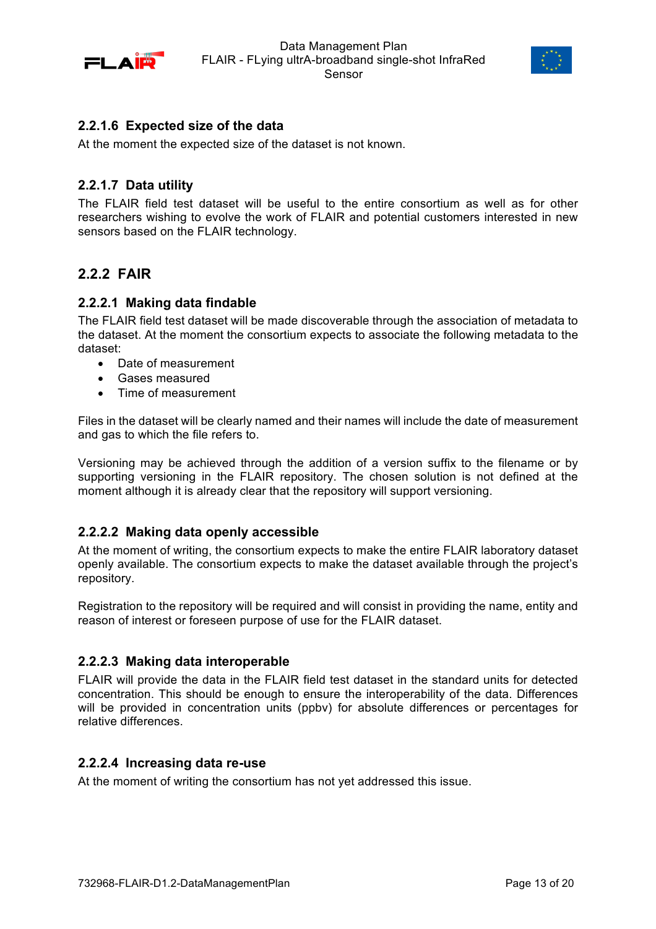



### **2.2.1.6 Expected size of the data**

At the moment the expected size of the dataset is not known.

#### **2.2.1.7 Data utility**

The FLAIR field test dataset will be useful to the entire consortium as well as for other researchers wishing to evolve the work of FLAIR and potential customers interested in new sensors based on the FLAIR technology.

## **2.2.2 FAIR**

#### **2.2.2.1 Making data findable**

The FLAIR field test dataset will be made discoverable through the association of metadata to the dataset. At the moment the consortium expects to associate the following metadata to the dataset:

- Date of measurement
- Gases measured
- Time of measurement

Files in the dataset will be clearly named and their names will include the date of measurement and gas to which the file refers to.

Versioning may be achieved through the addition of a version suffix to the filename or by supporting versioning in the FLAIR repository. The chosen solution is not defined at the moment although it is already clear that the repository will support versioning.

### **2.2.2.2 Making data openly accessible**

At the moment of writing, the consortium expects to make the entire FLAIR laboratory dataset openly available. The consortium expects to make the dataset available through the project's repository.

Registration to the repository will be required and will consist in providing the name, entity and reason of interest or foreseen purpose of use for the FLAIR dataset.

#### **2.2.2.3 Making data interoperable**

FLAIR will provide the data in the FLAIR field test dataset in the standard units for detected concentration. This should be enough to ensure the interoperability of the data. Differences will be provided in concentration units (ppbv) for absolute differences or percentages for relative differences.

#### **2.2.2.4 Increasing data re-use**

At the moment of writing the consortium has not yet addressed this issue.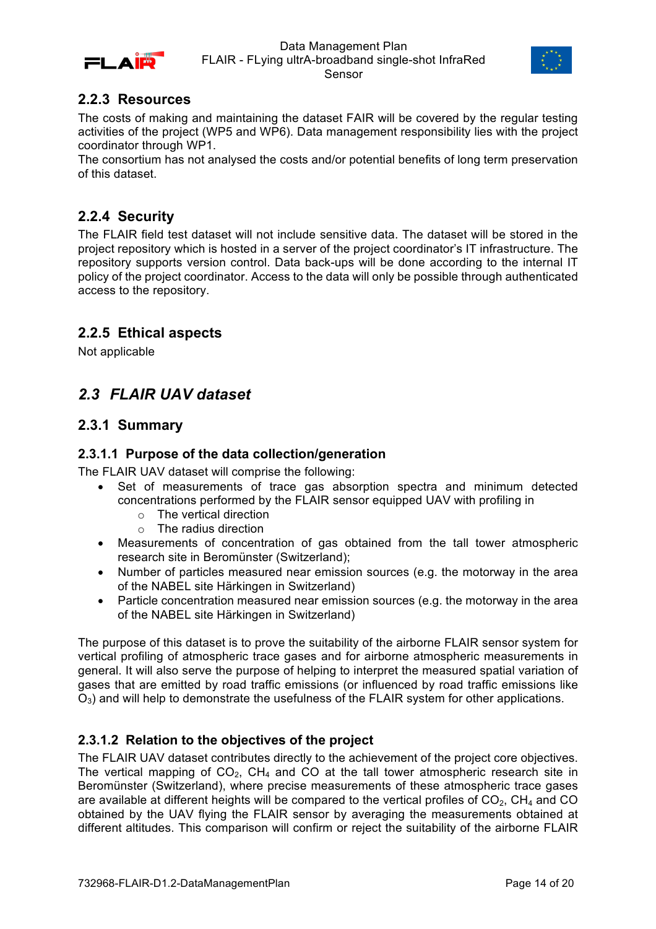



## **2.2.3 Resources**

The costs of making and maintaining the dataset FAIR will be covered by the regular testing activities of the project (WP5 and WP6). Data management responsibility lies with the project coordinator through WP1.

The consortium has not analysed the costs and/or potential benefits of long term preservation of this dataset.

## **2.2.4 Security**

The FLAIR field test dataset will not include sensitive data. The dataset will be stored in the project repository which is hosted in a server of the project coordinator's IT infrastructure. The repository supports version control. Data back-ups will be done according to the internal IT policy of the project coordinator. Access to the data will only be possible through authenticated access to the repository.

## **2.2.5 Ethical aspects**

Not applicable

# *2.3 FLAIR UAV dataset*

## **2.3.1 Summary**

### **2.3.1.1 Purpose of the data collection/generation**

The FLAIR UAV dataset will comprise the following:

- Set of measurements of trace gas absorption spectra and minimum detected concentrations performed by the FLAIR sensor equipped UAV with profiling in
	- o The vertical direction
	- o The radius direction
- Measurements of concentration of gas obtained from the tall tower atmospheric research site in Beromünster (Switzerland);
- Number of particles measured near emission sources (e.g. the motorway in the area of the NABEL site Härkingen in Switzerland)
- Particle concentration measured near emission sources (e.g. the motorway in the area of the NABEL site Härkingen in Switzerland)

The purpose of this dataset is to prove the suitability of the airborne FLAIR sensor system for vertical profiling of atmospheric trace gases and for airborne atmospheric measurements in general. It will also serve the purpose of helping to interpret the measured spatial variation of gases that are emitted by road traffic emissions (or influenced by road traffic emissions like  $O_3$ ) and will help to demonstrate the usefulness of the FLAIR system for other applications.

## **2.3.1.2 Relation to the objectives of the project**

The FLAIR UAV dataset contributes directly to the achievement of the project core objectives. The vertical mapping of  $CO<sub>2</sub>$ , CH<sub>4</sub> and CO at the tall tower atmospheric research site in Beromünster (Switzerland), where precise measurements of these atmospheric trace gases are available at different heights will be compared to the vertical profiles of  $CO<sub>2</sub>$ , CH<sub>4</sub> and CO obtained by the UAV flying the FLAIR sensor by averaging the measurements obtained at different altitudes. This comparison will confirm or reject the suitability of the airborne FLAIR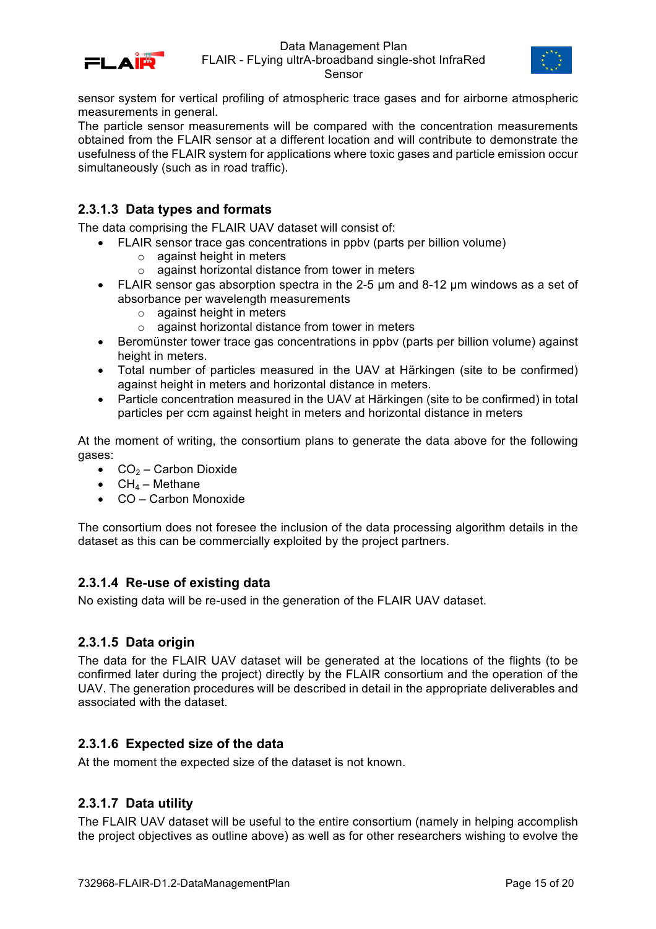



sensor system for vertical profiling of atmospheric trace gases and for airborne atmospheric measurements in general.

The particle sensor measurements will be compared with the concentration measurements obtained from the FLAIR sensor at a different location and will contribute to demonstrate the usefulness of the FLAIR system for applications where toxic gases and particle emission occur simultaneously (such as in road traffic).

### **2.3.1.3 Data types and formats**

The data comprising the FLAIR UAV dataset will consist of:

- FLAIR sensor trace gas concentrations in ppbv (parts per billion volume)
	- o against height in meters
	- o against horizontal distance from tower in meters
	- FLAIR sensor gas absorption spectra in the 2-5 µm and 8-12 µm windows as a set of absorbance per wavelength measurements
		- o against height in meters
		- o against horizontal distance from tower in meters
	- Beromünster tower trace gas concentrations in ppbv (parts per billion volume) against height in meters.
	- Total number of particles measured in the UAV at Härkingen (site to be confirmed) against height in meters and horizontal distance in meters.
	- Particle concentration measured in the UAV at Härkingen (site to be confirmed) in total particles per ccm against height in meters and horizontal distance in meters

At the moment of writing, the consortium plans to generate the data above for the following gases:

- $CO<sub>2</sub> Carbon Dioxide$
- $CH_4$  Methane
- CO Carbon Monoxide

The consortium does not foresee the inclusion of the data processing algorithm details in the dataset as this can be commercially exploited by the project partners.

#### **2.3.1.4 Re-use of existing data**

No existing data will be re-used in the generation of the FLAIR UAV dataset.

#### **2.3.1.5 Data origin**

The data for the FLAIR UAV dataset will be generated at the locations of the flights (to be confirmed later during the project) directly by the FLAIR consortium and the operation of the UAV. The generation procedures will be described in detail in the appropriate deliverables and associated with the dataset.

### **2.3.1.6 Expected size of the data**

At the moment the expected size of the dataset is not known.

#### **2.3.1.7 Data utility**

The FLAIR UAV dataset will be useful to the entire consortium (namely in helping accomplish the project objectives as outline above) as well as for other researchers wishing to evolve the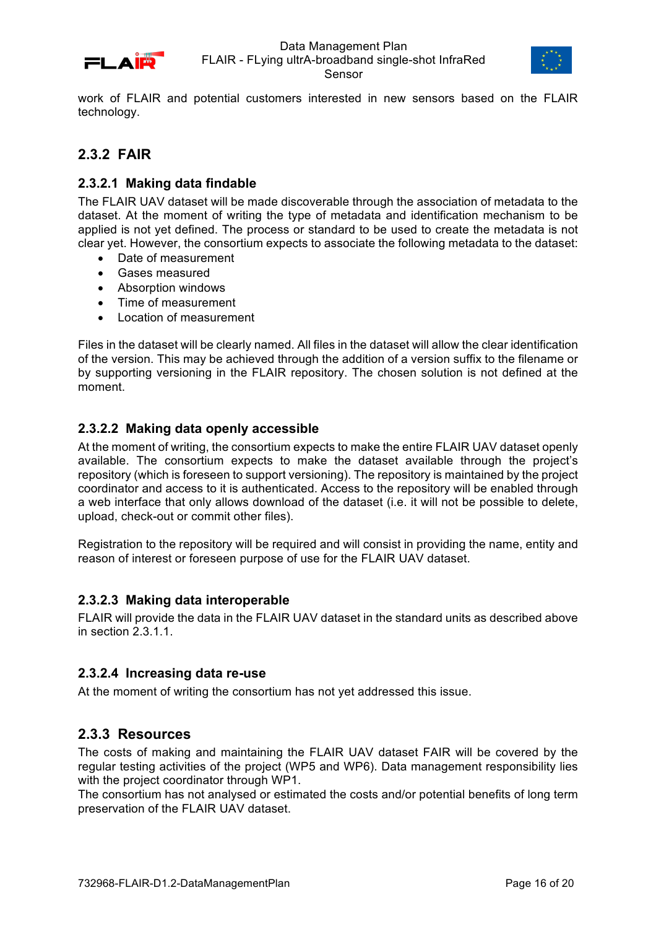



work of FLAIR and potential customers interested in new sensors based on the FLAIR technology.

## **2.3.2 FAIR**

### **2.3.2.1 Making data findable**

The FLAIR UAV dataset will be made discoverable through the association of metadata to the dataset. At the moment of writing the type of metadata and identification mechanism to be applied is not yet defined. The process or standard to be used to create the metadata is not clear yet. However, the consortium expects to associate the following metadata to the dataset:

- Date of measurement
- Gases measured
- Absorption windows
- Time of measurement
- Location of measurement

Files in the dataset will be clearly named. All files in the dataset will allow the clear identification of the version. This may be achieved through the addition of a version suffix to the filename or by supporting versioning in the FLAIR repository. The chosen solution is not defined at the moment.

## **2.3.2.2 Making data openly accessible**

At the moment of writing, the consortium expects to make the entire FLAIR UAV dataset openly available. The consortium expects to make the dataset available through the project's repository (which is foreseen to support versioning). The repository is maintained by the project coordinator and access to it is authenticated. Access to the repository will be enabled through a web interface that only allows download of the dataset (i.e. it will not be possible to delete, upload, check-out or commit other files).

Registration to the repository will be required and will consist in providing the name, entity and reason of interest or foreseen purpose of use for the FLAIR UAV dataset.

### **2.3.2.3 Making data interoperable**

FLAIR will provide the data in the FLAIR UAV dataset in the standard units as described above in section 2.3.1.1.

### **2.3.2.4 Increasing data re-use**

At the moment of writing the consortium has not yet addressed this issue.

## **2.3.3 Resources**

The costs of making and maintaining the FLAIR UAV dataset FAIR will be covered by the regular testing activities of the project (WP5 and WP6). Data management responsibility lies with the project coordinator through WP1.

The consortium has not analysed or estimated the costs and/or potential benefits of long term preservation of the FLAIR UAV dataset.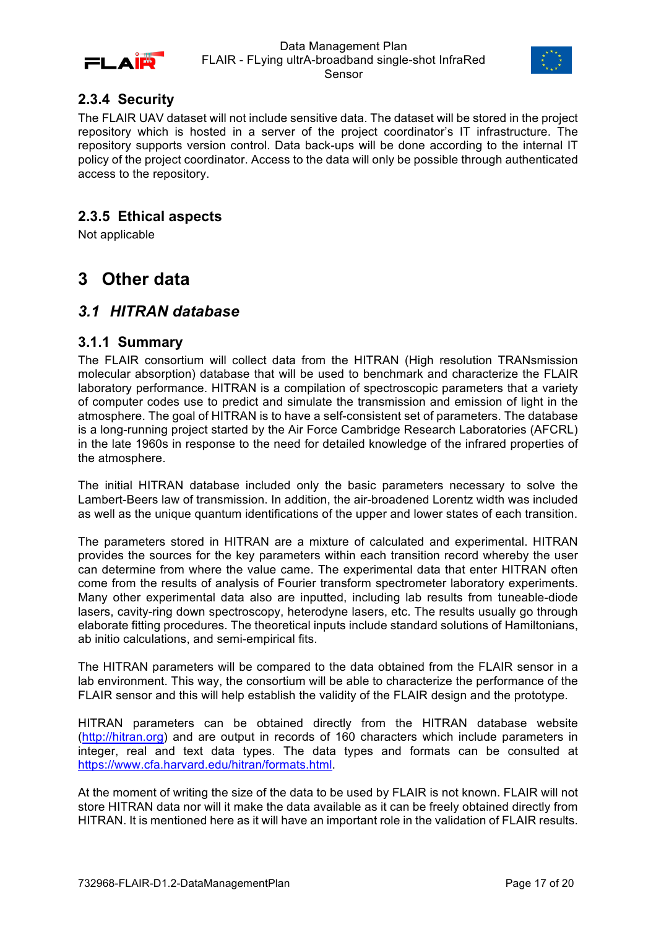



## **2.3.4 Security**

The FLAIR UAV dataset will not include sensitive data. The dataset will be stored in the project repository which is hosted in a server of the project coordinator's IT infrastructure. The repository supports version control. Data back-ups will be done according to the internal IT policy of the project coordinator. Access to the data will only be possible through authenticated access to the repository.

## **2.3.5 Ethical aspects**

Not applicable

# **3 Other data**

## *3.1 HITRAN database*

#### **3.1.1 Summary**

The FLAIR consortium will collect data from the HITRAN (High resolution TRANsmission molecular absorption) database that will be used to benchmark and characterize the FLAIR laboratory performance. HITRAN is a compilation of spectroscopic parameters that a variety of computer codes use to predict and simulate the transmission and emission of light in the atmosphere. The goal of HITRAN is to have a self-consistent set of parameters. The database is a long-running project started by the Air Force Cambridge Research Laboratories (AFCRL) in the late 1960s in response to the need for detailed knowledge of the infrared properties of the atmosphere.

The initial HITRAN database included only the basic parameters necessary to solve the Lambert-Beers law of transmission. In addition, the air-broadened Lorentz width was included as well as the unique quantum identifications of the upper and lower states of each transition.

The parameters stored in HITRAN are a mixture of calculated and experimental. HITRAN provides the sources for the key parameters within each transition record whereby the user can determine from where the value came. The experimental data that enter HITRAN often come from the results of analysis of Fourier transform spectrometer laboratory experiments. Many other experimental data also are inputted, including lab results from tuneable-diode lasers, cavity-ring down spectroscopy, heterodyne lasers, etc. The results usually go through elaborate fitting procedures. The theoretical inputs include standard solutions of Hamiltonians, ab initio calculations, and semi-empirical fits.

The HITRAN parameters will be compared to the data obtained from the FLAIR sensor in a lab environment. This way, the consortium will be able to characterize the performance of the FLAIR sensor and this will help establish the validity of the FLAIR design and the prototype.

HITRAN parameters can be obtained directly from the HITRAN database website (http://hitran.org) and are output in records of 160 characters which include parameters in integer, real and text data types. The data types and formats can be consulted at https://www.cfa.harvard.edu/hitran/formats.html.

At the moment of writing the size of the data to be used by FLAIR is not known. FLAIR will not store HITRAN data nor will it make the data available as it can be freely obtained directly from HITRAN. It is mentioned here as it will have an important role in the validation of FLAIR results.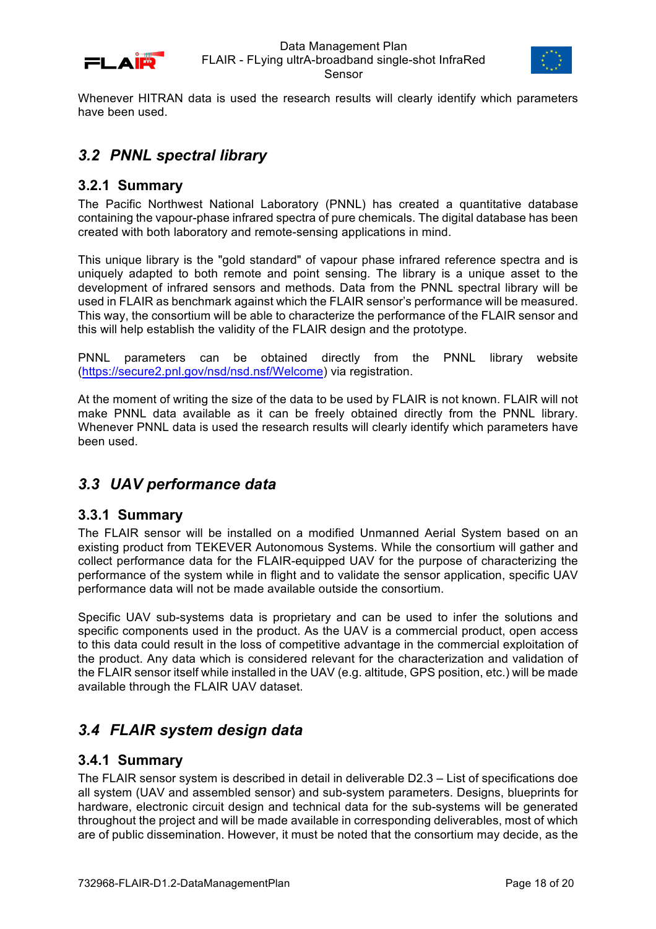



Whenever HITRAN data is used the research results will clearly identify which parameters have been used.

## *3.2 PNNL spectral library*

### **3.2.1 Summary**

The Pacific Northwest National Laboratory (PNNL) has created a quantitative database containing the vapour-phase infrared spectra of pure chemicals. The digital database has been created with both laboratory and remote-sensing applications in mind.

This unique library is the "gold standard" of vapour phase infrared reference spectra and is uniquely adapted to both remote and point sensing. The library is a unique asset to the development of infrared sensors and methods. Data from the PNNL spectral library will be used in FLAIR as benchmark against which the FLAIR sensor's performance will be measured. This way, the consortium will be able to characterize the performance of the FLAIR sensor and this will help establish the validity of the FLAIR design and the prototype.

PNNL parameters can be obtained directly from the PNNL library website (https://secure2.pnl.gov/nsd/nsd.nsf/Welcome) via registration.

At the moment of writing the size of the data to be used by FLAIR is not known. FLAIR will not make PNNL data available as it can be freely obtained directly from the PNNL library. Whenever PNNL data is used the research results will clearly identify which parameters have been used.

## *3.3 UAV performance data*

### **3.3.1 Summary**

The FLAIR sensor will be installed on a modified Unmanned Aerial System based on an existing product from TEKEVER Autonomous Systems. While the consortium will gather and collect performance data for the FLAIR-equipped UAV for the purpose of characterizing the performance of the system while in flight and to validate the sensor application, specific UAV performance data will not be made available outside the consortium.

Specific UAV sub-systems data is proprietary and can be used to infer the solutions and specific components used in the product. As the UAV is a commercial product, open access to this data could result in the loss of competitive advantage in the commercial exploitation of the product. Any data which is considered relevant for the characterization and validation of the FLAIR sensor itself while installed in the UAV (e.g. altitude, GPS position, etc.) will be made available through the FLAIR UAV dataset.

# *3.4 FLAIR system design data*

### **3.4.1 Summary**

The FLAIR sensor system is described in detail in deliverable D2.3 – List of specifications doe all system (UAV and assembled sensor) and sub-system parameters. Designs, blueprints for hardware, electronic circuit design and technical data for the sub-systems will be generated throughout the project and will be made available in corresponding deliverables, most of which are of public dissemination. However, it must be noted that the consortium may decide, as the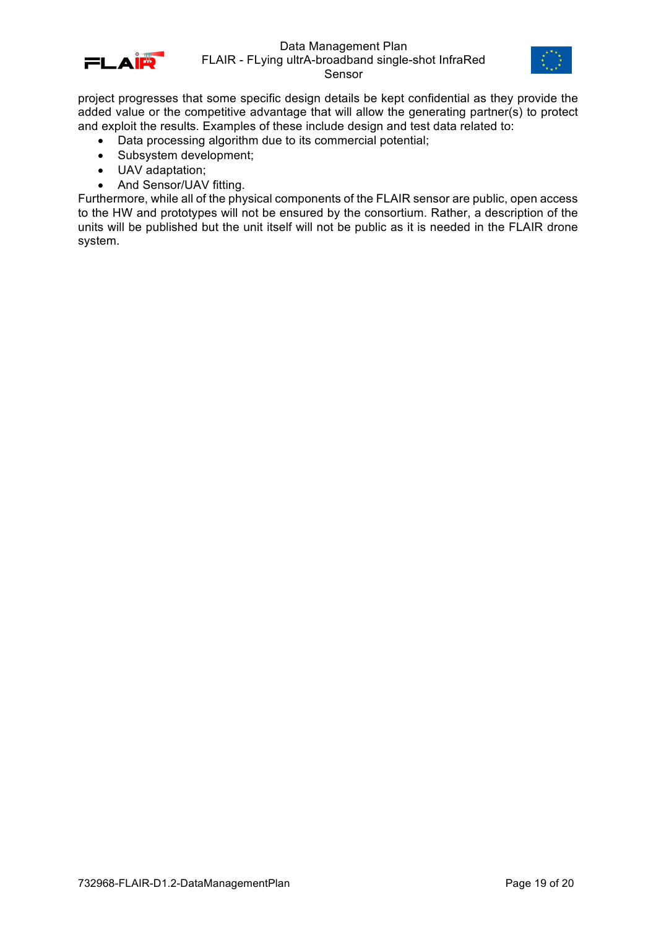



project progresses that some specific design details be kept confidential as they provide the added value or the competitive advantage that will allow the generating partner(s) to protect and exploit the results. Examples of these include design and test data related to:

- Data processing algorithm due to its commercial potential;
- Subsystem development;
- UAV adaptation;
- And Sensor/UAV fitting.

Furthermore, while all of the physical components of the FLAIR sensor are public, open access to the HW and prototypes will not be ensured by the consortium. Rather, a description of the units will be published but the unit itself will not be public as it is needed in the FLAIR drone system.